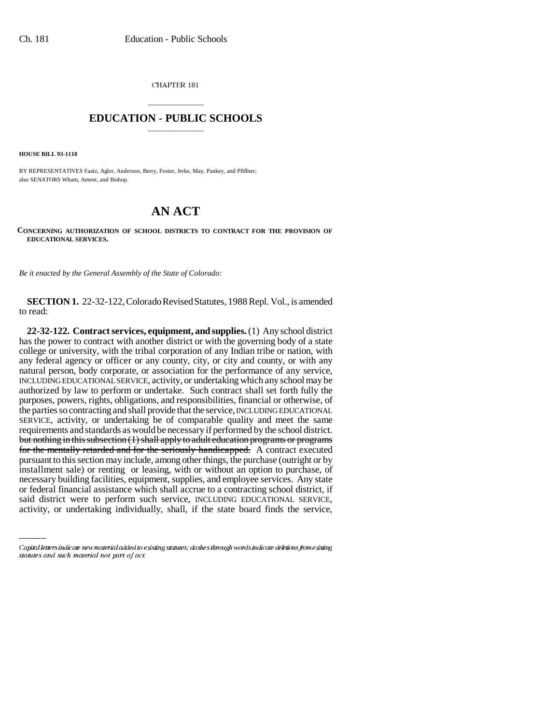CHAPTER 181

## \_\_\_\_\_\_\_\_\_\_\_\_\_\_\_ **EDUCATION - PUBLIC SCHOOLS** \_\_\_\_\_\_\_\_\_\_\_\_\_\_\_

**HOUSE BILL 93-1118**

BY REPRESENTATIVES Faatz, Agler, Anderson, Berry, Foster, Jerke, May, Pankey, and Pfiffner; also SENATORS Wham, Ament, and Bishop.

## **AN ACT**

## **CONCERNING AUTHORIZATION OF SCHOOL DISTRICTS TO CONTRACT FOR THE PROVISION OF EDUCATIONAL SERVICES.**

*Be it enacted by the General Assembly of the State of Colorado:*

**SECTION 1.** 22-32-122, Colorado Revised Statutes, 1988 Repl. Vol., is amended to read:

installment sale) or renting or leasing, with or without an option to purchase, of **22-32-122. Contract services, equipment, and supplies.** (1) Any school district has the power to contract with another district or with the governing body of a state college or university, with the tribal corporation of any Indian tribe or nation, with any federal agency or officer or any county, city, or city and county, or with any natural person, body corporate, or association for the performance of any service, INCLUDING EDUCATIONAL SERVICE, activity, or undertaking which any school may be authorized by law to perform or undertake. Such contract shall set forth fully the purposes, powers, rights, obligations, and responsibilities, financial or otherwise, of the parties so contracting and shall provide that the service, INCLUDING EDUCATIONAL SERVICE, activity, or undertaking be of comparable quality and meet the same requirements and standards as would be necessary if performed by the school district. but nothing in this subsection (1) shall apply to adult education programs or programs for the mentally retarded and for the seriously handicapped. A contract executed pursuant to this section may include, among other things, the purchase (outright or by necessary building facilities, equipment, supplies, and employee services. Any state or federal financial assistance which shall accrue to a contracting school district, if said district were to perform such service, INCLUDING EDUCATIONAL SERVICE, activity, or undertaking individually, shall, if the state board finds the service,

Capital letters indicate new material added to existing statutes; dashes through words indicate deletions from existing statutes and such material not part of act.